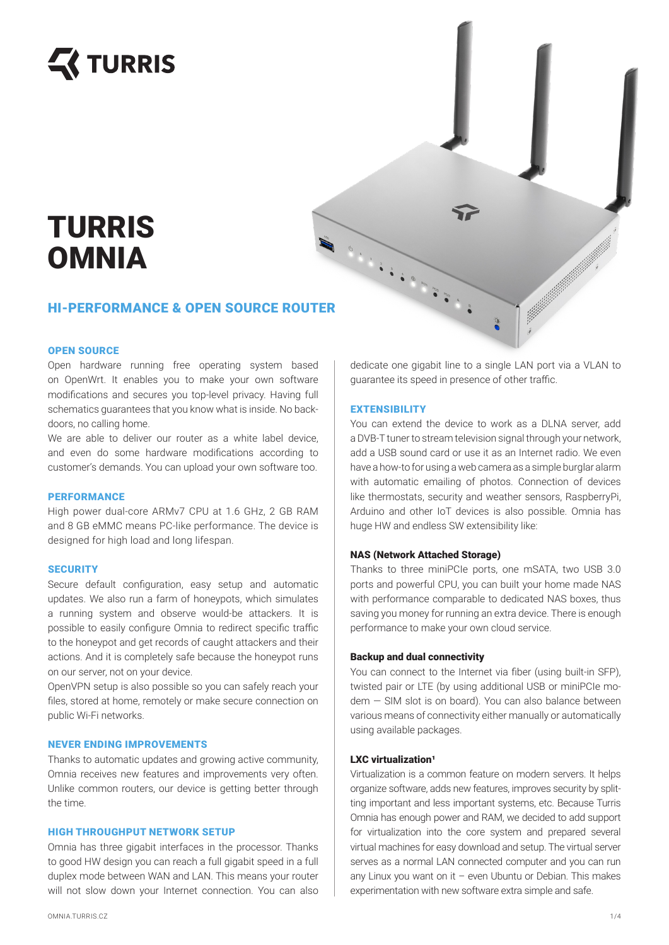

# HEREFORMANCE & OPEN SOURCE ROUTER TURRIS **OMNIA**

# OPEN SOURCE

Open hardware running free operating system based on OpenWrt. It enables you to make your own software modifications and secures you top-level privacy. Having full schematics guarantees that you know what is inside. No backdoors, no calling home.

We are able to deliver our router as a white label device. and even do some hardware modifications according to customer's demands. You can upload your own software too.

# **PERFORMANCE**

High power dual-core ARMv7 CPU at 1.6 GHz, 2 GB RAM and 8 GB eMMC means PC-like performance. The device is designed for high load and long lifespan.

## **SECURITY**

Secure default configuration, easy setup and automatic updates. We also run a farm of honeypots, which simulates a running system and observe would-be attackers. It is possible to easily configure Omnia to redirect specific traffic to the honeypot and get records of caught attackers and their actions. And it is completely safe because the honeypot runs on our server, not on your device.

OpenVPN setup is also possible so you can safely reach your files, stored at home, remotely or make secure connection on public Wi-Fi networks.

# NEVER ENDING IMPROVEMENTS

Thanks to automatic updates and growing active community, Omnia receives new features and improvements very often. Unlike common routers, our device is getting better through the time.

# HIGH THROUGHPUT NETWORK SETUP

Omnia has three gigabit interfaces in the processor. Thanks to good HW design you can reach a full gigabit speed in a full duplex mode between WAN and LAN. This means your router will not slow down your Internet connection. You can also dedicate one gigabit line to a single LAN port via a VLAN to guarantee its speed in presence of other traffic.

## **EXTENSIBILITY**

You can extend the device to work as a DLNA server, add a DVB-T tuner to stream television signal through your network, add a USB sound card or use it as an Internet radio. We even have a how-to for using a web camera as a simple burglar alarm with automatic emailing of photos. Connection of devices like thermostats, security and weather sensors, RaspberryPi, Arduino and other IoT devices is also possible. Omnia has huge HW and endless SW extensibility like:

## NAS (Network Attached Storage)

Thanks to three miniPCIe ports, one mSATA, two USB 3.0 ports and powerful CPU, you can built your home made NAS with performance comparable to dedicated NAS boxes, thus saving you money for running an extra device. There is enough performance to make your own cloud service.

# Backup and dual connectivity

You can connect to the Internet via fiber (using built-in SFP), twisted pair or LTE (by using additional USB or miniPCIe modem — SIM slot is on board). You can also balance between various means of connectivity either manually or automatically using available packages.

### $LXC$  virtualization<sup>1</sup>

Virtualization is a common feature on modern servers. It helps organize software, adds new features, improves security by splitting important and less important systems, etc. Because Turris Omnia has enough power and RAM, we decided to add support for virtualization into the core system and prepared several virtual machines for easy download and setup. The virtual server serves as a normal LAN connected computer and you can run any Linux you want on it – even Ubuntu or Debian. This makes experimentation with new software extra simple and safe.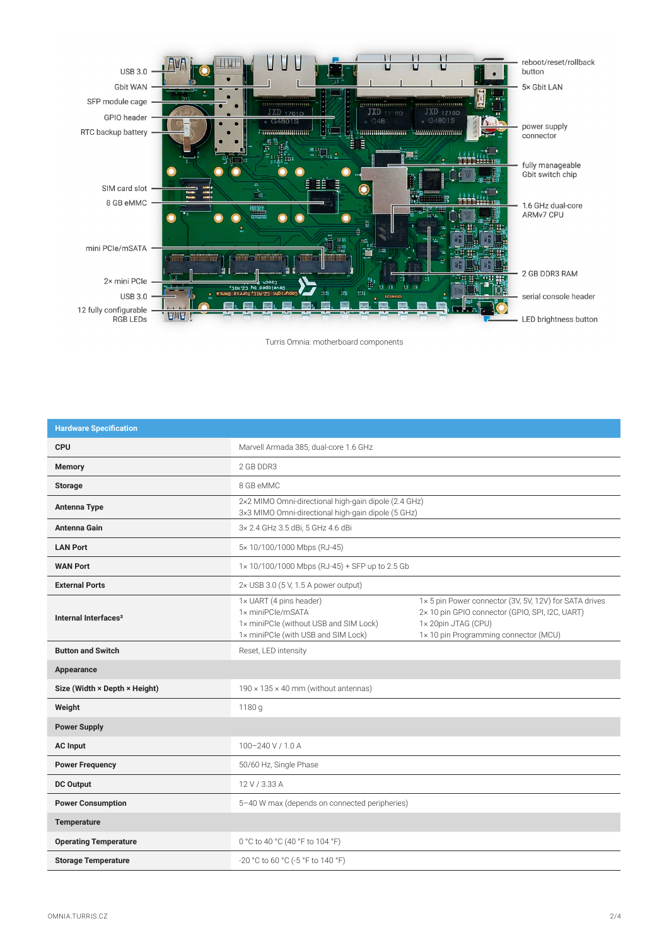

Turris Omnia: motherboard components

| <b>Hardware Specification</b>    |                                                                                                                               |                                                                                                                                                                          |
|----------------------------------|-------------------------------------------------------------------------------------------------------------------------------|--------------------------------------------------------------------------------------------------------------------------------------------------------------------------|
| <b>CPU</b>                       | Marvell Armada 385, dual-core 1.6 GHz                                                                                         |                                                                                                                                                                          |
| <b>Memory</b>                    | 2 GB DDR3                                                                                                                     |                                                                                                                                                                          |
| <b>Storage</b>                   | 8 GB eMMC                                                                                                                     |                                                                                                                                                                          |
| <b>Antenna Type</b>              | 2×2 MIMO Omni-directional high-gain dipole (2.4 GHz)<br>3×3 MIMO Omni-directional high-gain dipole (5 GHz)                    |                                                                                                                                                                          |
| <b>Antenna Gain</b>              | 3x 2.4 GHz 3.5 dBi, 5 GHz 4.6 dBi                                                                                             |                                                                                                                                                                          |
| <b>LAN Port</b>                  | 5×10/100/1000 Mbps (RJ-45)                                                                                                    |                                                                                                                                                                          |
| <b>WAN Port</b>                  | 1×10/100/1000 Mbps (RJ-45) + SFP up to 2.5 Gb                                                                                 |                                                                                                                                                                          |
| <b>External Ports</b>            | 2× USB 3.0 (5 V, 1.5 A power output)                                                                                          |                                                                                                                                                                          |
| Internal Interfaces <sup>2</sup> | 1× UART (4 pins header)<br>1x miniPCle/mSATA<br>1x miniPCle (without USB and SIM Lock)<br>1x miniPCle (with USB and SIM Lock) | 1x 5 pin Power connector (3V, 5V, 12V) for SATA drives<br>2× 10 pin GPIO connector (GPIO, SPI, I2C, UART)<br>1x 20pin JTAG (CPU)<br>1×10 pin Programming connector (MCU) |
| <b>Button and Switch</b>         | Reset, LED intensity                                                                                                          |                                                                                                                                                                          |
| Appearance                       |                                                                                                                               |                                                                                                                                                                          |
| Size (Width × Depth × Height)    | $190 \times 135 \times 40$ mm (without antennas)                                                                              |                                                                                                                                                                          |
| Weight                           | 1180 g                                                                                                                        |                                                                                                                                                                          |
| <b>Power Supply</b>              |                                                                                                                               |                                                                                                                                                                          |
| <b>AC Input</b>                  | 100-240 V / 1.0 A                                                                                                             |                                                                                                                                                                          |
| <b>Power Frequency</b>           | 50/60 Hz, Single Phase                                                                                                        |                                                                                                                                                                          |
| <b>DC Output</b>                 | 12 V / 3.33 A                                                                                                                 |                                                                                                                                                                          |
| <b>Power Consumption</b>         | 5-40 W max (depends on connected peripheries)                                                                                 |                                                                                                                                                                          |
| <b>Temperature</b>               |                                                                                                                               |                                                                                                                                                                          |
| <b>Operating Temperature</b>     | 0 °C to 40 °C (40 °F to 104 °F)                                                                                               |                                                                                                                                                                          |
| <b>Storage Temperature</b>       | -20 °C to 60 °C (-5 °F to 140 °F)                                                                                             |                                                                                                                                                                          |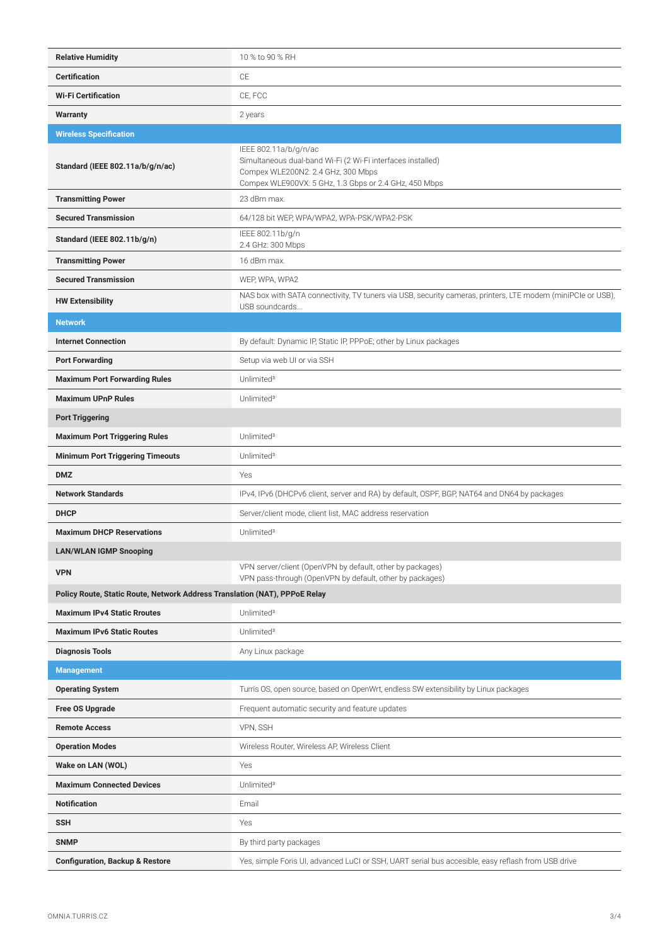| <b>Relative Humidity</b>                                                   | 10 % to 90 % RH                                                                                                                                                                     |  |
|----------------------------------------------------------------------------|-------------------------------------------------------------------------------------------------------------------------------------------------------------------------------------|--|
| <b>Certification</b>                                                       | CE                                                                                                                                                                                  |  |
| <b>Wi-Fi Certification</b>                                                 | CE, FCC                                                                                                                                                                             |  |
| <b>Warranty</b>                                                            | 2 years                                                                                                                                                                             |  |
| <b>Wireless Specification</b>                                              |                                                                                                                                                                                     |  |
| Standard (IEEE 802.11a/b/g/n/ac)                                           | IEEE 802.11a/b/g/n/ac<br>Simultaneous dual-band Wi-Fi (2 Wi-Fi interfaces installed)<br>Compex WLE200N2: 2.4 GHz, 300 Mbps<br>Compex WLE900VX: 5 GHz, 1.3 Gbps or 2.4 GHz, 450 Mbps |  |
| <b>Transmitting Power</b>                                                  | 23 dBm max.                                                                                                                                                                         |  |
| <b>Secured Transmission</b>                                                | 64/128 bit WEP, WPA/WPA2, WPA-PSK/WPA2-PSK                                                                                                                                          |  |
| Standard (IEEE 802.11b/g/n)                                                | IEEE 802.11b/g/n<br>2.4 GHz: 300 Mbps                                                                                                                                               |  |
| <b>Transmitting Power</b>                                                  | 16 dBm max.                                                                                                                                                                         |  |
| <b>Secured Transmission</b>                                                | WEP, WPA, WPA2                                                                                                                                                                      |  |
| <b>HW Extensibility</b>                                                    | NAS box with SATA connectivity, TV tuners via USB, security cameras, printers, LTE modem (miniPCle or USB),<br>USB soundcards                                                       |  |
| <b>Network</b>                                                             |                                                                                                                                                                                     |  |
| <b>Internet Connection</b>                                                 | By default: Dynamic IP, Static IP, PPPoE; other by Linux packages                                                                                                                   |  |
| <b>Port Forwarding</b>                                                     | Setup via web UI or via SSH                                                                                                                                                         |  |
| <b>Maximum Port Forwarding Rules</b>                                       | Unlimited <sup>3</sup>                                                                                                                                                              |  |
| <b>Maximum UPnP Rules</b>                                                  | Unlimited <sup>3</sup>                                                                                                                                                              |  |
| <b>Port Triggering</b>                                                     |                                                                                                                                                                                     |  |
| <b>Maximum Port Triggering Rules</b>                                       | Unlimited <sup>3</sup>                                                                                                                                                              |  |
| <b>Minimum Port Triggering Timeouts</b>                                    | Unlimited <sup>3</sup>                                                                                                                                                              |  |
| <b>DMZ</b>                                                                 | Yes                                                                                                                                                                                 |  |
|                                                                            | IPv4, IPv6 (DHCPv6 client, server and RA) by default, OSPF, BGP, NAT64 and DN64 by packages                                                                                         |  |
| <b>Network Standards</b>                                                   |                                                                                                                                                                                     |  |
| <b>DHCP</b>                                                                | Server/client mode, client list, MAC address reservation                                                                                                                            |  |
| <b>Maximum DHCP Reservations</b>                                           | Unlimited <sup>3</sup>                                                                                                                                                              |  |
| <b>LAN/WLAN IGMP Snooping</b>                                              |                                                                                                                                                                                     |  |
| <b>VPN</b>                                                                 | VPN server/client (OpenVPN by default, other by packages)<br>VPN pass-through (OpenVPN by default, other by packages)                                                               |  |
| Policy Route, Static Route, Network Address Translation (NAT), PPPoE Relay |                                                                                                                                                                                     |  |
| <b>Maximum IPv4 Static Rroutes</b>                                         | Unlimited <sup>3</sup>                                                                                                                                                              |  |
| <b>Maximum IPv6 Static Routes</b>                                          | Unlimited <sup>3</sup>                                                                                                                                                              |  |
| <b>Diagnosis Tools</b>                                                     | Any Linux package                                                                                                                                                                   |  |
| <b>Management</b>                                                          |                                                                                                                                                                                     |  |
| <b>Operating System</b>                                                    | Turris OS, open source, based on OpenWrt, endless SW extensibility by Linux packages                                                                                                |  |
| Free OS Upgrade                                                            | Frequent automatic security and feature updates                                                                                                                                     |  |
| <b>Remote Access</b>                                                       | VPN, SSH                                                                                                                                                                            |  |
| <b>Operation Modes</b>                                                     | Wireless Router, Wireless AP, Wireless Client                                                                                                                                       |  |
| Wake on LAN (WOL)                                                          | Yes                                                                                                                                                                                 |  |
| <b>Maximum Connected Devices</b>                                           | Unlimited <sup>3</sup>                                                                                                                                                              |  |
| <b>Notification</b>                                                        | Email                                                                                                                                                                               |  |
| <b>SSH</b>                                                                 | Yes                                                                                                                                                                                 |  |
| <b>SNMP</b>                                                                | By third party packages                                                                                                                                                             |  |